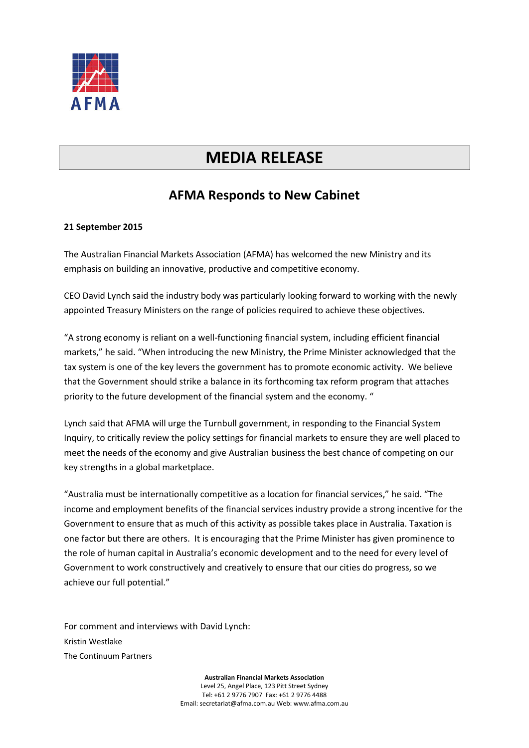

## **MEDIA RELEASE**

## **AFMA Responds to New Cabinet**

## **21 September 2015**

The Australian Financial Markets Association (AFMA) has welcomed the new Ministry and its emphasis on building an innovative, productive and competitive economy.

CEO David Lynch said the industry body was particularly looking forward to working with the newly appointed Treasury Ministers on the range of policies required to achieve these objectives.

"A strong economy is reliant on a well-functioning financial system, including efficient financial markets," he said. "When introducing the new Ministry, the Prime Minister acknowledged that the tax system is one of the key levers the government has to promote economic activity. We believe that the Government should strike a balance in its forthcoming tax reform program that attaches priority to the future development of the financial system and the economy. "

Lynch said that AFMA will urge the Turnbull government, in responding to the Financial System Inquiry, to critically review the policy settings for financial markets to ensure they are well placed to meet the needs of the economy and give Australian business the best chance of competing on our key strengths in a global marketplace.

"Australia must be internationally competitive as a location for financial services," he said. "The income and employment benefits of the financial services industry provide a strong incentive for the Government to ensure that as much of this activity as possible takes place in Australia. Taxation is one factor but there are others. It is encouraging that the Prime Minister has given prominence to the role of human capital in Australia's economic development and to the need for every level of Government to work constructively and creatively to ensure that our cities do progress, so we achieve our full potential."

For comment and interviews with David Lynch: Kristin Westlake The Continuum Partners

> **Australian Financial Markets Association** Level 25, Angel Place, 123 Pitt Street Sydney Tel: +61 2 9776 7907 Fax: +61 2 9776 4488 Email: secretariat@afma.com.au Web: www.afma.com.au